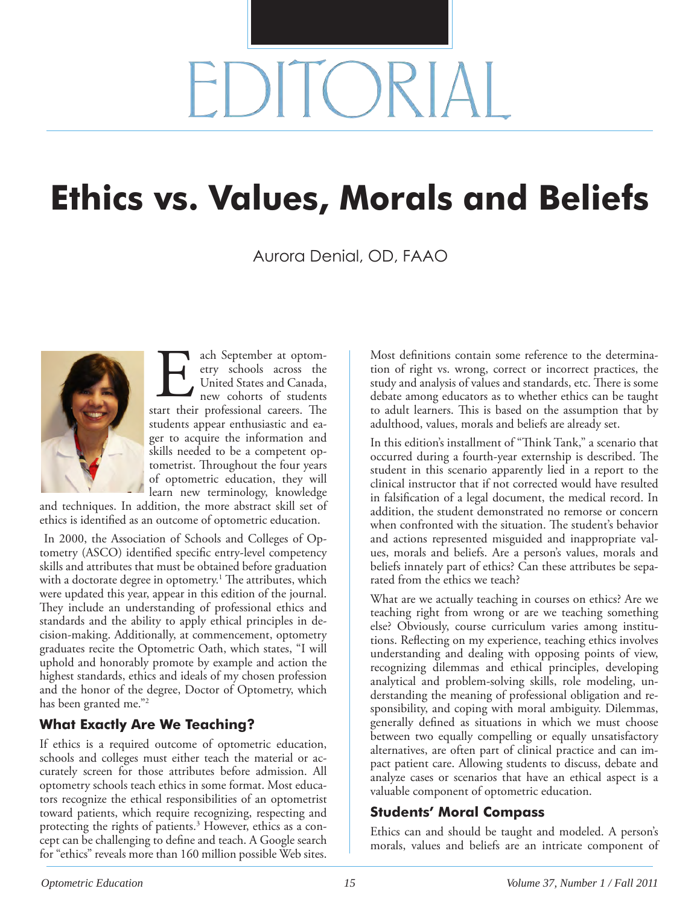# $H$  )  $R$

## **Ethics vs. Values, Morals and Beliefs**

Aurora Denial, OD, FAAO



ach September at optometry schools across the United States and Canada, new cohorts of students ach September at optom-<br>etry schools across the<br>United States and Canada,<br>new cohorts of students<br>start their professional careers. The students appear enthusiastic and eager to acquire the information and skills needed to be a competent optometrist. Throughout the four years of optometric education, they will

learn new terminology, knowledge and techniques. In addition, the more abstract skill set of ethics is identified as an outcome of optometric education.

 In 2000, the Association of Schools and Colleges of Optometry (ASCO) identified specific entry-level competency skills and attributes that must be obtained before graduation with a doctorate degree in optometry. $^1$  The attributes, which were updated this year, appear in this edition of the journal. They include an understanding of professional ethics and standards and the ability to apply ethical principles in decision-making. Additionally, at commencement, optometry graduates recite the Optometric Oath, which states, "I will uphold and honorably promote by example and action the highest standards, ethics and ideals of my chosen profession and the honor of the degree, Doctor of Optometry, which has been granted me."2

#### **What Exactly Are We Teaching?**

If ethics is a required outcome of optometric education, schools and colleges must either teach the material or accurately screen for those attributes before admission. All optometry schools teach ethics in some format. Most educators recognize the ethical responsibilities of an optometrist toward patients, which require recognizing, respecting and protecting the rights of patients.<sup>3</sup> However, ethics as a concept can be challenging to define and teach. A Google search for "ethics" reveals more than 160 million possible Web sites.

Most definitions contain some reference to the determination of right vs. wrong, correct or incorrect practices, the study and analysis of values and standards, etc. There is some debate among educators as to whether ethics can be taught to adult learners. This is based on the assumption that by adulthood, values, morals and beliefs are already set.

In this edition's installment of "Think Tank," a scenario that occurred during a fourth-year externship is described. The student in this scenario apparently lied in a report to the clinical instructor that if not corrected would have resulted in falsification of a legal document, the medical record. In addition, the student demonstrated no remorse or concern when confronted with the situation. The student's behavior and actions represented misguided and inappropriate values, morals and beliefs. Are a person's values, morals and beliefs innately part of ethics? Can these attributes be separated from the ethics we teach?

What are we actually teaching in courses on ethics? Are we teaching right from wrong or are we teaching something else? Obviously, course curriculum varies among institutions. Reflecting on my experience, teaching ethics involves understanding and dealing with opposing points of view, recognizing dilemmas and ethical principles, developing analytical and problem-solving skills, role modeling, understanding the meaning of professional obligation and responsibility, and coping with moral ambiguity. Dilemmas, generally defined as situations in which we must choose between two equally compelling or equally unsatisfactory alternatives, are often part of clinical practice and can impact patient care. Allowing students to discuss, debate and analyze cases or scenarios that have an ethical aspect is a valuable component of optometric education.

#### **Students' Moral Compass**

Ethics can and should be taught and modeled. A person's morals, values and beliefs are an intricate component of